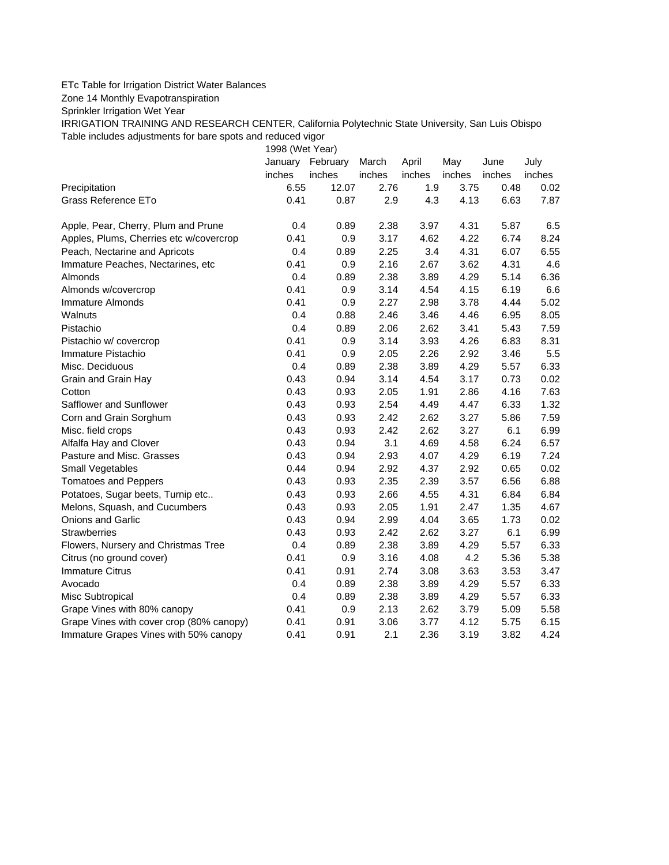## ETc Table for Irrigation District Water Balances

Zone 14 Monthly Evapotranspiration

Sprinkler Irrigation Wet Year

IRRIGATION TRAINING AND RESEARCH CENTER, California Polytechnic State University, San Luis Obispo Table includes adjustments for bare spots and reduced vigor

1998 (Wet Year)

|                                          | January | February | March  | April  | May    | June   | July   |
|------------------------------------------|---------|----------|--------|--------|--------|--------|--------|
|                                          | inches  | inches   | inches | inches | inches | inches | inches |
| Precipitation                            | 6.55    | 12.07    | 2.76   | 1.9    | 3.75   | 0.48   | 0.02   |
| <b>Grass Reference ETo</b>               | 0.41    | 0.87     | 2.9    | 4.3    | 4.13   | 6.63   | 7.87   |
| Apple, Pear, Cherry, Plum and Prune      | 0.4     | 0.89     | 2.38   | 3.97   | 4.31   | 5.87   | 6.5    |
| Apples, Plums, Cherries etc w/covercrop  | 0.41    | 0.9      | 3.17   | 4.62   | 4.22   | 6.74   | 8.24   |
| Peach, Nectarine and Apricots            | 0.4     | 0.89     | 2.25   | 3.4    | 4.31   | 6.07   | 6.55   |
| Immature Peaches, Nectarines, etc        | 0.41    | 0.9      | 2.16   | 2.67   | 3.62   | 4.31   | 4.6    |
| Almonds                                  | 0.4     | 0.89     | 2.38   | 3.89   | 4.29   | 5.14   | 6.36   |
| Almonds w/covercrop                      | 0.41    | 0.9      | 3.14   | 4.54   | 4.15   | 6.19   | 6.6    |
| Immature Almonds                         | 0.41    | 0.9      | 2.27   | 2.98   | 3.78   | 4.44   | 5.02   |
| Walnuts                                  | 0.4     | 0.88     | 2.46   | 3.46   | 4.46   | 6.95   | 8.05   |
| Pistachio                                | 0.4     | 0.89     | 2.06   | 2.62   | 3.41   | 5.43   | 7.59   |
| Pistachio w/ covercrop                   | 0.41    | 0.9      | 3.14   | 3.93   | 4.26   | 6.83   | 8.31   |
| Immature Pistachio                       | 0.41    | 0.9      | 2.05   | 2.26   | 2.92   | 3.46   | 5.5    |
| Misc. Deciduous                          | 0.4     | 0.89     | 2.38   | 3.89   | 4.29   | 5.57   | 6.33   |
| Grain and Grain Hay                      | 0.43    | 0.94     | 3.14   | 4.54   | 3.17   | 0.73   | 0.02   |
| Cotton                                   | 0.43    | 0.93     | 2.05   | 1.91   | 2.86   | 4.16   | 7.63   |
| Safflower and Sunflower                  | 0.43    | 0.93     | 2.54   | 4.49   | 4.47   | 6.33   | 1.32   |
| Corn and Grain Sorghum                   | 0.43    | 0.93     | 2.42   | 2.62   | 3.27   | 5.86   | 7.59   |
| Misc. field crops                        | 0.43    | 0.93     | 2.42   | 2.62   | 3.27   | 6.1    | 6.99   |
| Alfalfa Hay and Clover                   | 0.43    | 0.94     | 3.1    | 4.69   | 4.58   | 6.24   | 6.57   |
| Pasture and Misc. Grasses                | 0.43    | 0.94     | 2.93   | 4.07   | 4.29   | 6.19   | 7.24   |
| Small Vegetables                         | 0.44    | 0.94     | 2.92   | 4.37   | 2.92   | 0.65   | 0.02   |
| <b>Tomatoes and Peppers</b>              | 0.43    | 0.93     | 2.35   | 2.39   | 3.57   | 6.56   | 6.88   |
| Potatoes, Sugar beets, Turnip etc        | 0.43    | 0.93     | 2.66   | 4.55   | 4.31   | 6.84   | 6.84   |
| Melons, Squash, and Cucumbers            | 0.43    | 0.93     | 2.05   | 1.91   | 2.47   | 1.35   | 4.67   |
| <b>Onions and Garlic</b>                 | 0.43    | 0.94     | 2.99   | 4.04   | 3.65   | 1.73   | 0.02   |
| <b>Strawberries</b>                      | 0.43    | 0.93     | 2.42   | 2.62   | 3.27   | 6.1    | 6.99   |
| Flowers, Nursery and Christmas Tree      | 0.4     | 0.89     | 2.38   | 3.89   | 4.29   | 5.57   | 6.33   |
| Citrus (no ground cover)                 | 0.41    | 0.9      | 3.16   | 4.08   | 4.2    | 5.36   | 5.38   |
| <b>Immature Citrus</b>                   | 0.41    | 0.91     | 2.74   | 3.08   | 3.63   | 3.53   | 3.47   |
| Avocado                                  | 0.4     | 0.89     | 2.38   | 3.89   | 4.29   | 5.57   | 6.33   |
| Misc Subtropical                         | 0.4     | 0.89     | 2.38   | 3.89   | 4.29   | 5.57   | 6.33   |
| Grape Vines with 80% canopy              | 0.41    | 0.9      | 2.13   | 2.62   | 3.79   | 5.09   | 5.58   |
| Grape Vines with cover crop (80% canopy) | 0.41    | 0.91     | 3.06   | 3.77   | 4.12   | 5.75   | 6.15   |
| Immature Grapes Vines with 50% canopy    | 0.41    | 0.91     | 2.1    | 2.36   | 3.19   | 3.82   | 4.24   |